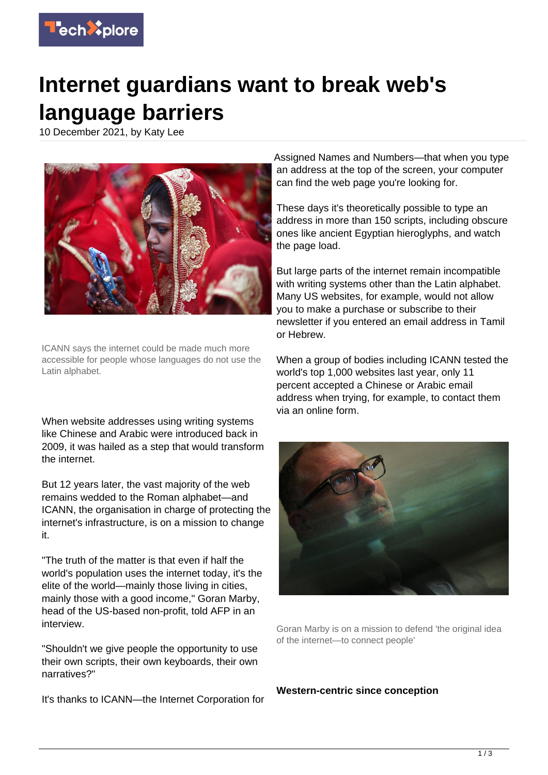

## **Internet guardians want to break web's language barriers**

10 December 2021, by Katy Lee



ICANN says the internet could be made much more accessible for people whose languages do not use the Latin alphabet.

When website addresses using writing systems like Chinese and Arabic were introduced back in 2009, it was hailed as a step that would transform the internet.

But 12 years later, the vast majority of the web remains wedded to the Roman alphabet—and ICANN, the organisation in charge of protecting the internet's infrastructure, is on a mission to change it.

"The truth of the matter is that even if half the world's population uses the internet today, it's the elite of the world—mainly those living in cities, mainly those with a good income," Goran Marby, head of the US-based non-profit, told AFP in an interview.

"Shouldn't we give people the opportunity to use their own scripts, their own keyboards, their own narratives?"

It's thanks to ICANN—the Internet Corporation for

Assigned Names and Numbers—that when you type an address at the top of the screen, your computer can find the web page you're looking for.

These days it's theoretically possible to type an address in more than 150 scripts, including obscure ones like ancient Egyptian hieroglyphs, and watch the page load.

But large parts of the internet remain incompatible with writing systems other than the Latin alphabet. Many US websites, for example, would not allow you to make a purchase or subscribe to their newsletter if you entered an email address in Tamil or Hebrew.

When a group of bodies including ICANN tested the world's top 1,000 websites last year, only 11 percent accepted a Chinese or Arabic email address when trying, for example, to contact them via an online form.



Goran Marby is on a mission to defend 'the original idea of the internet—to connect people'

**Western-centric since conception**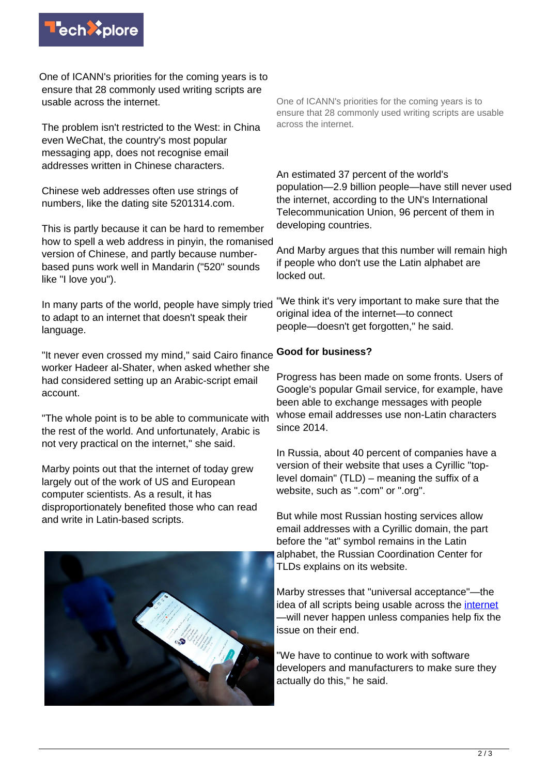

One of ICANN's priorities for the coming years is to ensure that 28 commonly used writing scripts are usable across the internet.

The problem isn't restricted to the West: in China even WeChat, the country's most popular messaging app, does not recognise email addresses written in Chinese characters.

Chinese web addresses often use strings of numbers, like the dating site 5201314.com.

This is partly because it can be hard to remember how to spell a web address in pinyin, the romanised version of Chinese, and partly because numberbased puns work well in Mandarin ("520" sounds like "I love you").

In many parts of the world, people have simply tried to adapt to an internet that doesn't speak their language.

"It never even crossed my mind," said Cairo finance worker Hadeer al-Shater, when asked whether she had considered setting up an Arabic-script email account.

"The whole point is to be able to communicate with the rest of the world. And unfortunately, Arabic is not very practical on the internet," she said.

Marby points out that the internet of today grew largely out of the work of US and European computer scientists. As a result, it has disproportionately benefited those who can read and write in Latin-based scripts.



One of ICANN's priorities for the coming years is to ensure that 28 commonly used writing scripts are usable across the internet.

An estimated 37 percent of the world's population—2.9 billion people—have still never used the internet, according to the UN's International Telecommunication Union, 96 percent of them in developing countries.

And Marby argues that this number will remain high if people who don't use the Latin alphabet are locked out.

"We think it's very important to make sure that the original idea of the internet—to connect people—doesn't get forgotten," he said.

## **Good for business?**

Progress has been made on some fronts. Users of Google's popular Gmail service, for example, have been able to exchange messages with people whose email addresses use non-Latin characters since 2014.

In Russia, about 40 percent of companies have a version of their website that uses a Cyrillic "toplevel domain" (TLD) – meaning the suffix of a website, such as ".com" or ".org".

But while most Russian hosting services allow email addresses with a Cyrillic domain, the part before the "at" symbol remains in the Latin alphabet, the Russian Coordination Center for TLDs explains on its website.

Marby stresses that "universal acceptance"—the idea of all scripts being usable across the [internet](https://techxplore.com/tags/internet/) —will never happen unless companies help fix the issue on their end.

"We have to continue to work with software developers and manufacturers to make sure they actually do this," he said.